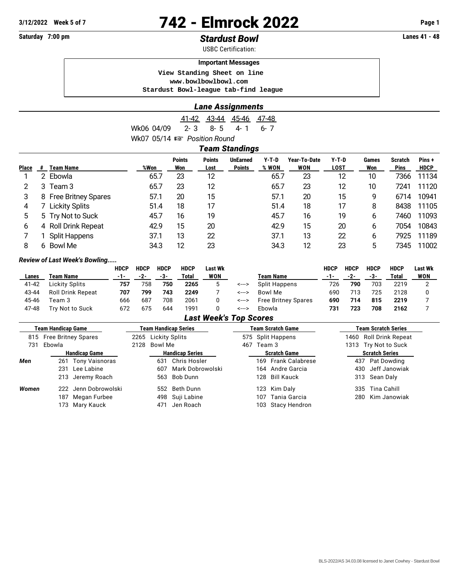# **3/12/2022 Week 5 of 7** 742 - Elmrock 2022 **Page 1**

## **Saturday 7:00 pm** *Stardust Bowl* **Lanes 41 - 48**

USBC Certification:

#### **Important Messages**

 **View Standing Sheet on line <www.bowlbowlbowl.com> Stardust Bowl-league tab-find league**

|                                        | <b>Lane Assignments</b> |  |  |  |
|----------------------------------------|-------------------------|--|--|--|
|                                        | 41-42 43-44 45-46 47-48 |  |  |  |
| Wk06 04/09 2-3 8-5 4-1 6-7             |                         |  |  |  |
| Wk07 05/14 $\mathbb{R}$ Position Round |                         |  |  |  |
|                                        | <b>Team Standings</b>   |  |  |  |

|              |   |                          |      | <b>Points</b> | <b>Points</b> | <b>UnEarned</b> | $Y-T-D$ | Year-To-Date | $Y-T-D$     | Games | <b>Scratch</b> | Pins+       |
|--------------|---|--------------------------|------|---------------|---------------|-----------------|---------|--------------|-------------|-------|----------------|-------------|
| <b>Place</b> | # | Team Name                | %Won | Won           | Lost          | <b>Points</b>   | % WON   | WON          | <b>LOST</b> | Won   | <b>Pins</b>    | <b>HDCP</b> |
|              |   | Ebowla                   | 65.7 | 23            | 12            |                 | 65.7    | 23           | 12          | 10    | 7366           | 11134       |
|              | 3 | Team 3                   | 65.7 | 23            | 12            |                 | 65.7    | 23           | 12          | 10    | 7241           | 11120       |
| 3            |   | 8 Free Britney Spares    | 57.1 | 20            | 15            |                 | 57.1    | 20           | 15          | 9     | 6714           | 10941       |
| 4            |   | <b>Lickity Splits</b>    | 51.4 | 18            | 17            |                 | 51.4    | 18           | 17          | 8     | 8438           | 11105       |
| 5            |   | 5 Try Not to Suck        | 45.7 | 16            | 19            |                 | 45.7    | 16           | 19          | 6     | 7460           | 11093       |
| 6            | 4 | <b>Roll Drink Repeat</b> | 42.9 | 15            | 20            |                 | 42.9    | 15           | 20          | 6     | 7054           | 10843       |
|              |   | <b>Split Happens</b>     | 37.1 | 13            | 22            |                 | 37.1    | 13           | 22          | 6     | 7925           | 11189       |
| 8            | 6 | Bowl Me                  | 34.3 | 12            | 23            |                 | 34.3    | 12           | 23          | 5     | 7345           | 11002       |
|              |   |                          |      |               |               |                 |         |              |             |       |                |             |

#### *Review of Last Week's Bowling.....*

|       |                          | <b>HDCP</b> | <b>HDCP</b> | <b>HDCP</b> | <b>HDCP</b> | Last Wk |       |                            | <b>HDCP</b> | HDCP | <b>HDCP</b> | <b>HDCP</b> | Last Wk |
|-------|--------------------------|-------------|-------------|-------------|-------------|---------|-------|----------------------------|-------------|------|-------------|-------------|---------|
| Lanes | Team Name                | -1-         | -2-         | -3-         | Total       | WON     |       | Team Name                  | $-1-$       | -2-  | -3-         | Total       | WON     |
| 41-42 | Lickity Splits           | 757         | 758         | 750         | 2265        |         | <---> | Split Happens              | 726         | 790  | 703         | 2219        |         |
| 43-44 | <b>Roll Drink Repeat</b> | 707         | 799         | 743         | 2249        |         | <---> | Bowl Me                    | 69C         | 713  | 725         | 2128        |         |
| 45-46 | Feam 3                   | 666         | 687         | 708         | 2061        |         | <---> | <b>Free Britney Spares</b> | 690         | 714  | 815         | 2219        |         |
| 47-48 | Try Not to Suck          | 672         | 675         | 644         | 1991        |         | <---> | Ebowla                     | 731         | 723  | 708         | 2162        |         |

### *Last Week's Top Scores*

|       | Team Handicap Game      |                      |      |                     | Team Handicap Series   |     |                   | <b>Team Scratch Game</b> | <b>Team Scratch Series</b> |                       |  |
|-------|-------------------------|----------------------|------|---------------------|------------------------|-----|-------------------|--------------------------|----------------------------|-----------------------|--|
|       | 815 Free Britney Spares |                      |      | 2265 Lickity Splits |                        |     | 575 Split Happens |                          | 1460 Roll Drink Repeat     |                       |  |
| 731   | Ebowla                  |                      | 2128 | Bowl Me             |                        | 467 | Team 3            |                          | 1313 Try Not to Suck       |                       |  |
|       |                         | <b>Handicap Game</b> |      |                     | <b>Handicap Series</b> |     |                   | <b>Scratch Game</b>      |                            | <b>Scratch Series</b> |  |
| Men   |                         | 261 Tony Vaisnoras   |      | 631                 | Chris Hosler           |     |                   | 169 Frank Calabrese      |                            | 437 Pat Dowding       |  |
|       |                         | 231 Lee Labine       |      |                     | 607 Mark Dobrowolski   |     |                   | 164 Andre Garcia         |                            | 430 Jeff Janowiak     |  |
|       |                         | 213 Jeremy Roach     |      |                     | 563 Bob Dunn           |     |                   | 128 Bill Kauck           |                            | 313 Sean Daly         |  |
| Women |                         | 222 Jenn Dobrowolski |      |                     | 552 Beth Dunn          |     |                   | 123 Kim Daly             |                            | 335 Tina Cahill       |  |
|       | 187                     | Megan Furbee         |      |                     | 498 Suji Labine        |     |                   | 107 Tania Garcia         |                            | 280 Kim Janowiak      |  |
|       | 173                     | Mary Kauck           |      | 471                 | Jen Roach              |     |                   | 103 Stacy Hendron        |                            |                       |  |